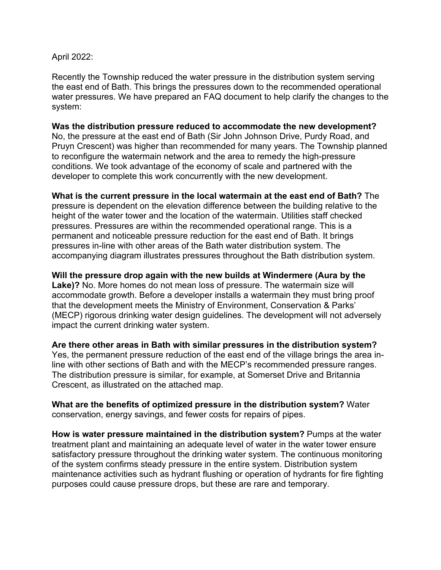## April 2022:

Recently the Township reduced the water pressure in the distribution system serving the east end of Bath. This brings the pressures down to the recommended operational water pressures. We have prepared an FAQ document to help clarify the changes to the system:

**Was the distribution pressure reduced to accommodate the new development?** No, the pressure at the east end of Bath (Sir John Johnson Drive, Purdy Road, and Pruyn Crescent) was higher than recommended for many years. The Township planned to reconfigure the watermain network and the area to remedy the high-pressure conditions. We took advantage of the economy of scale and partnered with the developer to complete this work concurrently with the new development.

**What is the current pressure in the local watermain at the east end of Bath?** The pressure is dependent on the elevation difference between the building relative to the height of the water tower and the location of the watermain. Utilities staff checked pressures. Pressures are within the recommended operational range. This is a permanent and noticeable pressure reduction for the east end of Bath. It brings pressures in-line with other areas of the Bath water distribution system. The accompanying diagram illustrates pressures throughout the Bath distribution system.

**Will the pressure drop again with the new builds at Windermere (Aura by the Lake)?** No. More homes do not mean loss of pressure. The watermain size will accommodate growth. Before a developer installs a watermain they must bring proof that the development meets the Ministry of Environment, Conservation & Parks' (MECP) rigorous drinking water design guidelines. The development will not adversely impact the current drinking water system.

**Are there other areas in Bath with similar pressures in the distribution system?** Yes, the permanent pressure reduction of the east end of the village brings the area inline with other sections of Bath and with the MECP's recommended pressure ranges. The distribution pressure is similar, for example, at Somerset Drive and Britannia Crescent, as illustrated on the attached map.

**What are the benefits of optimized pressure in the distribution system?** Water conservation, energy savings, and fewer costs for repairs of pipes.

**How is water pressure maintained in the distribution system?** Pumps at the water treatment plant and maintaining an adequate level of water in the water tower ensure satisfactory pressure throughout the drinking water system. The continuous monitoring of the system confirms steady pressure in the entire system. Distribution system maintenance activities such as hydrant flushing or operation of hydrants for fire fighting purposes could cause pressure drops, but these are rare and temporary.